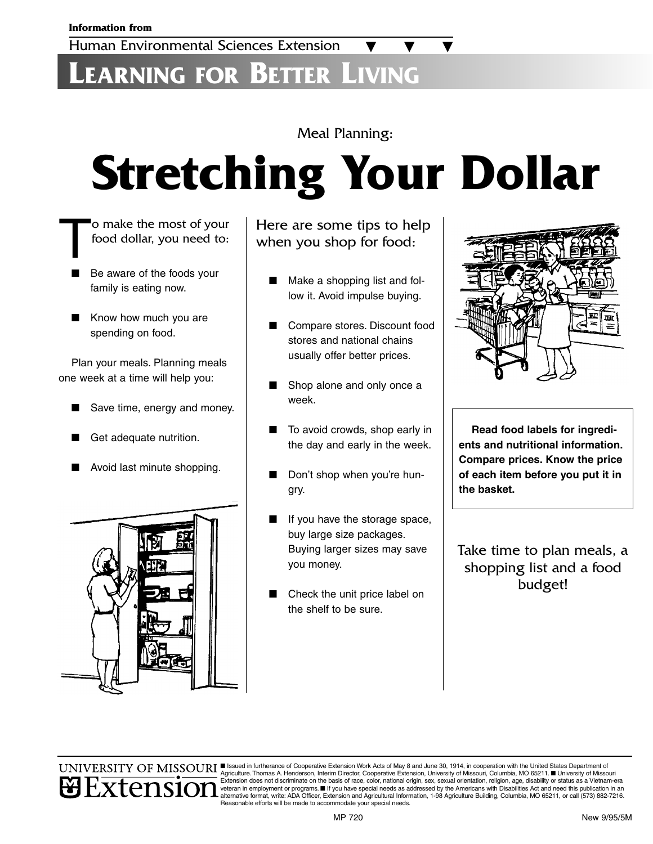## **LEARNING FOR BETTER LIVING**

#### Meal Planning:

# **Stretching Your Dollar**

- The most of your<br>food dollar, you need to: food dollar, you need to:
	- Be aware of the foods your family is eating now.
	- Know how much you are spending on food.

Plan your meals. Planning meals one week at a time will help you:

- Save time, energy and money.
- Get adequate nutrition.
- Avoid last minute shopping.



Here are some tips to help when you shop for food:

- Make a shopping list and follow it. Avoid impulse buying.
- Compare stores. Discount food stores and national chains usually offer better prices.
- Shop alone and only once a week.
- To avoid crowds, shop early in the day and early in the week.
- Don't shop when you're hungry.
- If you have the storage space, buy large size packages. Buying larger sizes may save you money.
- Check the unit price label on the shelf to be sure.



**Read food labels for ingredients and nutritional information. Compare prices. Know the price of each item before you put it in the basket.**

Take time to plan meals, a shopping list and a food budget!



UNIVERSITY OF MISSOURI SERVICE IN THE STATE OF COOPERATIVE EXTENSION WORK Acts of May 8 and June 30, 1914, in cooperation with the United States Department of Agriculture. Thomas A. Henderson, Interim Director, Cooperative Extension, University of Missouri, Columbia, MO 65211. ■ University of Missouri Extension does not discriminate on the basis of race, color, national origin, sex, sexual orientation, religion, age, disability or status as a Vietnam-era<br>veteran in employment or programs. ■ If you have special needs as alternative format, write: ADA Officer, Extension and Agricultural Information, 1-98 Agriculture Building, Columbia, MO 65211, or call (573) 882-7216. Reasonable efforts will be made to accommodate your special needs.